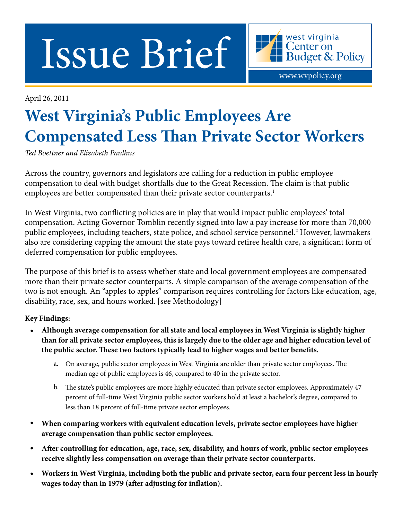Issue Brief

April 26, 2011

# **West Virginia's Public Employees Are Compensated Less Than Private Sector Workers**

www.wvpolicy.org

west virginia Center on

**Budget & Policy** 

*Ted Boettner and Elizabeth Paulhus*

Across the country, governors and legislators are calling for a reduction in public employee compensation to deal with budget shortfalls due to the Great Recession. The claim is that public employees are better compensated than their private sector counterparts.<sup>1</sup>

In West Virginia, two conflicting policies are in play that would impact public employees' total compensation. Acting Governor Tomblin recently signed into law a pay increase for more than 70,000 public employees, including teachers, state police, and school service personnel.2 However, lawmakers also are considering capping the amount the state pays toward retiree health care, a significant form of deferred compensation for public employees.

The purpose of this brief is to assess whether state and local government employees are compensated more than their private sector counterparts. A simple comparison of the average compensation of the two is not enough. An "apples to apples" comparison requires controlling for factors like education, age, disability, race, sex, and hours worked. [see Methodology]

## **Key Findings:**

- **Although average compensation for all state and local employees in West Virginia is slightly higher than for all private sector employees, this is largely due to the older age and higher education level of the public sector. These two factors typically lead to higher wages and better benefits.**
	- a. On average, public sector employees in West Virginia are older than private sector employees. The median age of public employees is 46, compared to 40 in the private sector.
	- b. The state's public employees are more highly educated than private sector employees. Approximately 47 percent of full-time West Virginia public sector workers hold at least a bachelor's degree, compared to less than 18 percent of full-time private sector employees.
- **When comparing workers with equivalent education levels, private sector employees have higher average compensation than public sector employees.**
- **After controlling for education, age, race, sex, disability, and hours of work, public sector employees receive slightly less compensation on average than their private sector counterparts.**
- **Workers in West Virginia, including both the public and private sector, earn four percent less in hourly wages today than in 1979 (after adjusting for inflation).**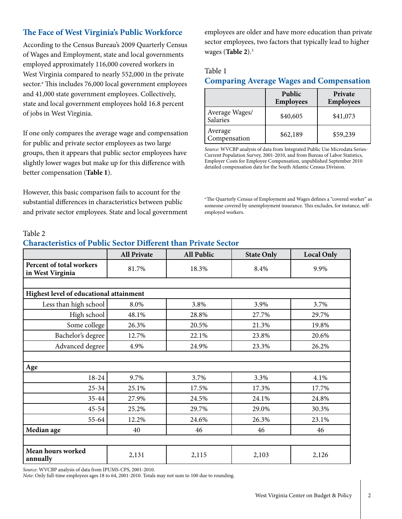# **The Face of West Virginia's Public Workforce**

According to the Census Bureau's 2009 Quarterly Census of Wages and Employment, state and local governments employed approximately 116,000 covered workers in West Virginia compared to nearly 552,000 in the private sector.<sup>a</sup> This includes 76,000 local government employees and 41,000 state government employees. Collectively, state and local government employees hold 16.8 percent of jobs in West Virginia.

If one only compares the average wage and compensation for public and private sector employees as two large groups, then it appears that public sector employees have slightly lower wages but make up for this difference with better compensation (**Table 1**).

However, this basic comparison fails to account for the substantial differences in characteristics between public and private sector employees. State and local government

employees are older and have more education than private sector employees, two factors that typically lead to higher wages (**Table 2**).3

#### Table 1

## **Comparing Average Wages and Compensation**

|                            | Public<br><b>Employees</b> | Private<br><b>Employees</b> |
|----------------------------|----------------------------|-----------------------------|
| Average Wages/<br>Salaries | \$40,605                   | \$41,073                    |
| Average<br>Compensation    | \$62,189                   | \$59,239                    |

*Source*: WVCBP analysis of data from Integrated Public Use Microdata Series-Current Population Survey, 2001-2010, and from Bureau of Labor Statistics, Employer Costs for Employee Compensation, unpublished September 2010 detailed compensation data for the South Atlantic Census Division.

a The Quarterly Census of Employment and Wages defines a "covered worker" as someone covered by unemployment insurance. This excludes, for instance, selfemployed workers.

#### Table 2

## **Characteristics of Public Sector Different than Private Sector**

|                                              | <b>All Private</b> | <b>All Public</b> | <b>State Only</b> | <b>Local Only</b> |  |  |
|----------------------------------------------|--------------------|-------------------|-------------------|-------------------|--|--|
| Percent of total workers<br>in West Virginia | 81.7%              | 18.3%             | 8.4%              | 9.9%              |  |  |
|                                              |                    |                   |                   |                   |  |  |
| Highest level of educational attainment      |                    |                   |                   |                   |  |  |
| Less than high school                        | 8.0%               | 3.8%              | 3.9%              | 3.7%              |  |  |
| High school                                  | 48.1%              | 28.8%             | 27.7%             | 29.7%             |  |  |
| Some college                                 | 26.3%              | 20.5%             | 21.3%             | 19.8%             |  |  |
| Bachelor's degree                            | 12.7%              | 22.1%             | 23.8%             | 20.6%             |  |  |
| Advanced degree                              | 4.9%               | 24.9%             | 23.3%             | 26.2%             |  |  |
|                                              |                    |                   |                   |                   |  |  |
| Age                                          |                    |                   |                   |                   |  |  |
| 18-24                                        | 9.7%               | 3.7%              | 3.3%              | 4.1%              |  |  |
| $25 - 34$                                    | 25.1%              | 17.5%             | 17.3%             | 17.7%             |  |  |
| 35-44                                        | 27.9%              | 24.5%             | 24.1%             | 24.8%             |  |  |
| $45 - 54$                                    | 25.2%              | 29.7%             | 29.0%             | 30.3%             |  |  |
| 55-64                                        | 12.2%              | 24.6%             | 26.3%             | 23.1%             |  |  |
| Median age                                   | 40                 | 46                | 46                | 46                |  |  |
|                                              |                    |                   |                   |                   |  |  |
| Mean hours worked<br>annually                | 2,131              | 2,115             | 2,103             | 2,126             |  |  |

*Source*: WVCBP analysis of data from IPUMS-CPS, 2001-2010.

*Note*: Only full-time employees ages 18 to 64, 2001-2010. Totals may not sum to 100 due to rounding.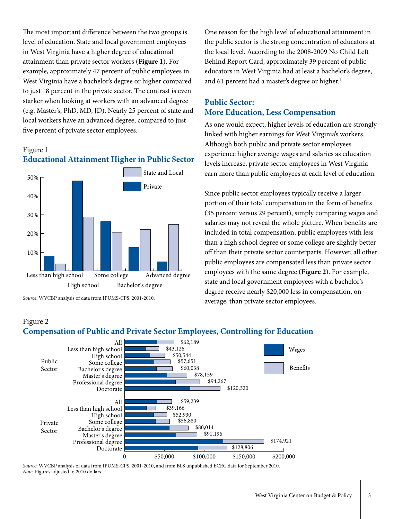The most important difference between the two groups is level of education. State and local government employees in West Virginia have a higher degree of educational attainment than private sector workers (**Figure 1**). For example, approximately 47 percent of public employees in West Virginia have a bachelor's degree or higher compared to just 18 percent in the private sector. The contrast is even starker when looking at workers with an advanced degree (e.g. Master's, PhD, MD, JD). Nearly 25 percent of state and local workers have an advanced degree, compared to just five percent of private sector employees.

# Figure 1 **Educational Attainment Higher in Public Sector**



*Source*: WVCBP analysis of data from IPUMS-CPS, 2001-2010.

Figure 2

One reason for the high level of educational attainment in the public sector is the strong concentration of educators at the local level. According to the 2008-2009 No Child Left Behind Report Card, approximately 39 percent of public educators in West Virginia had at least a bachelor's degree, and 61 percent had a master's degree or higher.<sup>4</sup>

## **Public Sector: More Education, Less Compensation**

As one would expect, higher levels of education are strongly linked with higher earnings for West Virginia's workers. Although both public and private sector employees experience higher average wages and salaries as education levels increase, private sector employees in West Virginia earn more than public employees at each level of education.

Since public sector employees typically receive a larger portion of their total compensation in the form of benefits (35 percent versus 29 percent), simply comparing wages and salaries may not reveal the whole picture. When benefits are included in total compensation, public employees with less than a high school degree or some college are slightly better off than their private sector counterparts. However, all other public employees are compensated less than private sector employees with the same degree (**Figure 2**). For example, state and local government employees with a bachelor's degree receive nearly \$20,000 less in compensation, on average, than private sector employees.

#### West Virginia Center on Budget & Policy | 3

#### **Compensation of Public and Private Sector Employees, Controlling for Education**



*Source*: WVCBP analysis of data from IPUMS-CPS, 2001-2010, and from BLS unpublished ECEC data for September 2010. *Note*: Figures adjusted to 2010 dollars.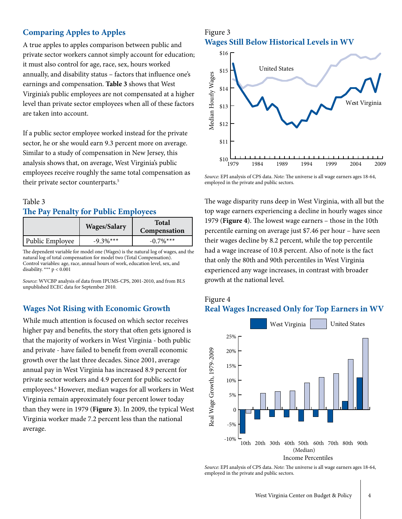## **Comparing Apples to Apples**

A true apples to apples comparison between public and private sector workers cannot simply account for education; it must also control for age, race, sex, hours worked annually, and disability status – factors that influence one's earnings and compensation. **Table 3** shows that West Virginia's public employees are not compensated at a higher level than private sector employees when all of these factors are taken into account.

If a public sector employee worked instead for the private sector, he or she would earn 9.3 percent more on average. Similar to a study of compensation in New Jersey, this analysis shows that, on average, West Virginia's public employees receive roughly the same total compensation as their private sector counterparts.5

# Table 3 **The Pay Penalty for Public Employees**

|                 | <b>Wages/Salary</b> | <b>Total</b><br>Compensation |  |
|-----------------|---------------------|------------------------------|--|
| Public Employee | $-9.3\%***$         | $-0.7\%$ ***                 |  |

The dependent variable for model one (Wages) is the natural log of wages, and the natural log of total compensation for model two (Total Compensation). Control variables: age, race, annual hours of work, education level, sex, and disability. \*\*\*  $p < 0.001$ 

*Source*: WVCBP analysis of data from IPUMS-CPS, 2001-2010, and from BLS unpublished ECEC data for September 2010.

#### **Wages Not Rising with Economic Growth**

While much attention is focused on which sector receives higher pay and benefits, the story that often gets ignored is that the majority of workers in West Virginia - both public and private - have failed to benefit from overall economic growth over the last three decades. Since 2001, average annual pay in West Virginia has increased 8.9 percent for private sector workers and 4.9 percent for public sector employees.<sup>6</sup> However, median wages for all workers in West Virginia remain approximately four percent lower today than they were in 1979 (**Figure 3**). In 2009, the typical West Virginia worker made 7.2 percent less than the national average.

#### Figure 3 **Wages Still Below Historical Levels in WV**



*Source*: EPI analysis of CPS data. *Note*: The universe is all wage earners ages 18-64, employed in the private and public sectors.

The wage disparity runs deep in West Virginia, with all but the top wage earners experiencing a decline in hourly wages since 1979 (**Figure 4**). The lowest wage earners – those in the 10th percentile earning on average just \$7.46 per hour – have seen their wages decline by 8.2 percent, while the top percentile had a wage increase of 10.8 percent. Also of note is the fact that only the 80th and 90th percentiles in West Virginia experienced any wage increases, in contrast with broader growth at the national level.

## Figure 4 **Real Wages Increased Only for Top Earners in WV**



*Source*: EPI analysis of CPS data. *Note*: The universe is all wage earners ages 18-64,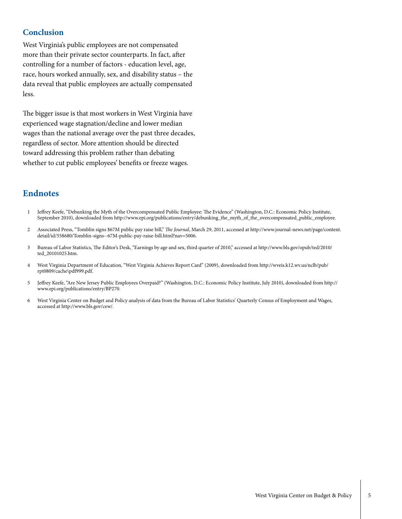## **Conclusion**

West Virginia's public employees are not compensated more than their private sector counterparts. In fact, after controlling for a number of factors - education level, age, race, hours worked annually, sex, and disability status – the data reveal that public employees are actually compensated less.

The bigger issue is that most workers in West Virginia have experienced wage stagnation/decline and lower median wages than the national average over the past three decades, regardless of sector. More attention should be directed toward addressing this problem rather than debating whether to cut public employees' benefits or freeze wages.

# **Endnotes**

- Jeffrey Keefe, "Debunking the Myth of the Overcompensated Public Employee: The Evidence" (Washington, D.C.: Economic Policy Institute, September 2010), downloaded from [http://www.epi.org/publications/entry/debunking\\_the\\_myth\\_of\\_the\\_overcompensated\\_public\\_employee](http://www.epi.org/publications/entry/debunking_the_myth_of_the_overcompensated_public_employee). 1
- Associated Press, "Tomblin signs \$67M public pay raise bill," *The Journal*, March 29, 2011, accessed at [http://www.journal-news.net/page/content.](http://www.journal-news.net/page/content.detail/id/558680/Tomblin-signs--67M-public-pay-raise-bill.html?nav=5006) [detail/id/558680/Tomblin-signs--67M-public-pay-raise-bill.html?nav=5006.](http://www.journal-news.net/page/content.detail/id/558680/Tomblin-signs--67M-public-pay-raise-bill.html?nav=5006)  $\overline{2}$
- Bureau of Labor Statistics, The Editor's Desk, "Earnings by age and sex, third quarter of 2010," accessed at [http://www.bls.gov/opub/ted/2010/](http://www.bls.gov/opub/ted/2010/ted_20101025.htm) [ted\\_20101025.htm.](http://www.bls.gov/opub/ted/2010/ted_20101025.htm) 3
- West Virginia Department of Education, "West Virginia Achieves Report Card" (2009), downloaded from [http://wveis.k12.wv.us/nclb/pub/](http://wveis.k12.wv.us/nclb/pub/rpt0809/cache\pdf999.pdf) [rpt0809/cache\pdf999.pdf](http://wveis.k12.wv.us/nclb/pub/rpt0809/cache\pdf999.pdf). 4
- Jeffrey Keefe, "Are New Jersey Public Employees Overpaid?" (Washington, D.C.: Economic Policy Institute, July 2010), downloaded from [http://](http://www.epi.org/publications/entry/BP270 ) [www.epi.org/publications/entry/BP270.](http://www.epi.org/publications/entry/BP270 ) 5
- West Virginia Center on Budget and Policy analysis of data from the Bureau of Labor Statistics' Quarterly Census of Employment and Wages, accessed at <http://www.bls.gov/cew/>. 6